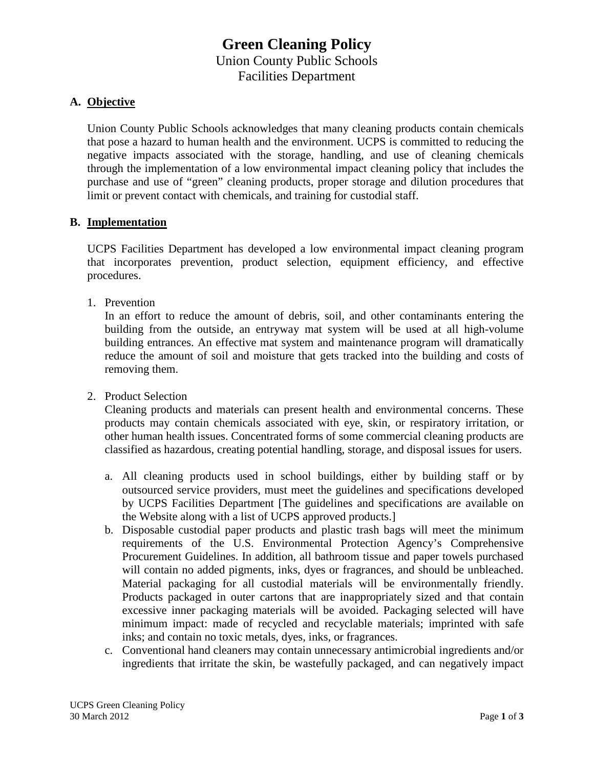# **Green Cleaning Policy** Union County Public Schools Facilities Department

### **A. Objective**

Union County Public Schools acknowledges that many cleaning products contain chemicals that pose a hazard to human health and the environment. UCPS is committed to reducing the negative impacts associated with the storage, handling, and use of cleaning chemicals through the implementation of a low environmental impact cleaning policy that includes the purchase and use of "green" cleaning products, proper storage and dilution procedures that limit or prevent contact with chemicals, and training for custodial staff.

### **B. Implementation**

UCPS Facilities Department has developed a low environmental impact cleaning program that incorporates prevention, product selection, equipment efficiency, and effective procedures.

1. Prevention

In an effort to reduce the amount of debris, soil, and other contaminants entering the building from the outside, an entryway mat system will be used at all high-volume building entrances. An effective mat system and maintenance program will dramatically reduce the amount of soil and moisture that gets tracked into the building and costs of removing them.

2. Product Selection

Cleaning products and materials can present health and environmental concerns. These products may contain chemicals associated with eye, skin, or respiratory irritation, or other human health issues. Concentrated forms of some commercial cleaning products are classified as hazardous, creating potential handling, storage, and disposal issues for users.

- a. All cleaning products used in school buildings, either by building staff or by outsourced service providers, must meet the guidelines and specifications developed by UCPS Facilities Department [The guidelines and specifications are available on the Website along with a list of UCPS approved products.]
- b. Disposable custodial paper products and plastic trash bags will meet the minimum requirements of the U.S. Environmental Protection Agency's Comprehensive Procurement Guidelines. In addition, all bathroom tissue and paper towels purchased will contain no added pigments, inks, dyes or fragrances, and should be unbleached. Material packaging for all custodial materials will be environmentally friendly. Products packaged in outer cartons that are inappropriately sized and that contain excessive inner packaging materials will be avoided. Packaging selected will have minimum impact: made of recycled and recyclable materials; imprinted with safe inks; and contain no toxic metals, dyes, inks, or fragrances.
- c. Conventional hand cleaners may contain unnecessary antimicrobial ingredients and/or ingredients that irritate the skin, be wastefully packaged, and can negatively impact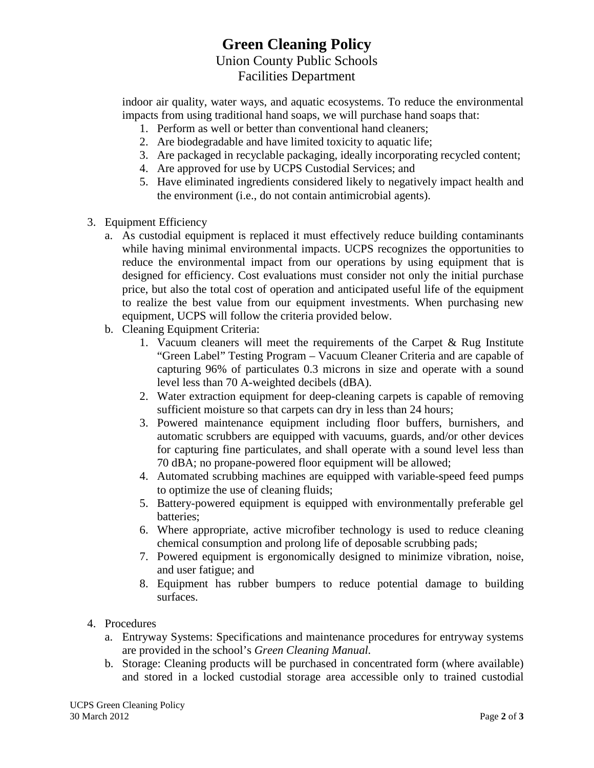## **Green Cleaning Policy** Union County Public Schools Facilities Department

indoor air quality, water ways, and aquatic ecosystems. To reduce the environmental impacts from using traditional hand soaps, we will purchase hand soaps that:

- 1. Perform as well or better than conventional hand cleaners;
- 2. Are biodegradable and have limited toxicity to aquatic life;
- 3. Are packaged in recyclable packaging, ideally incorporating recycled content;
- 4. Are approved for use by UCPS Custodial Services; and
- 5. Have eliminated ingredients considered likely to negatively impact health and the environment (i.e., do not contain antimicrobial agents).
- 3. Equipment Efficiency
	- a. As custodial equipment is replaced it must effectively reduce building contaminants while having minimal environmental impacts. UCPS recognizes the opportunities to reduce the environmental impact from our operations by using equipment that is designed for efficiency. Cost evaluations must consider not only the initial purchase price, but also the total cost of operation and anticipated useful life of the equipment to realize the best value from our equipment investments. When purchasing new equipment, UCPS will follow the criteria provided below.
	- b. Cleaning Equipment Criteria:
		- 1. Vacuum cleaners will meet the requirements of the Carpet & Rug Institute "Green Label" Testing Program – Vacuum Cleaner Criteria and are capable of capturing 96% of particulates 0.3 microns in size and operate with a sound level less than 70 A-weighted decibels (dBA).
		- 2. Water extraction equipment for deep-cleaning carpets is capable of removing sufficient moisture so that carpets can dry in less than 24 hours;
		- 3. Powered maintenance equipment including floor buffers, burnishers, and automatic scrubbers are equipped with vacuums, guards, and/or other devices for capturing fine particulates, and shall operate with a sound level less than 70 dBA; no propane-powered floor equipment will be allowed;
		- 4. Automated scrubbing machines are equipped with variable-speed feed pumps to optimize the use of cleaning fluids;
		- 5. Battery-powered equipment is equipped with environmentally preferable gel batteries;
		- 6. Where appropriate, active microfiber technology is used to reduce cleaning chemical consumption and prolong life of deposable scrubbing pads;
		- 7. Powered equipment is ergonomically designed to minimize vibration, noise, and user fatigue; and
		- 8. Equipment has rubber bumpers to reduce potential damage to building surfaces.
- 4. Procedures
	- a. Entryway Systems: Specifications and maintenance procedures for entryway systems are provided in the school's *Green Cleaning Manual.*
	- b. Storage: Cleaning products will be purchased in concentrated form (where available) and stored in a locked custodial storage area accessible only to trained custodial